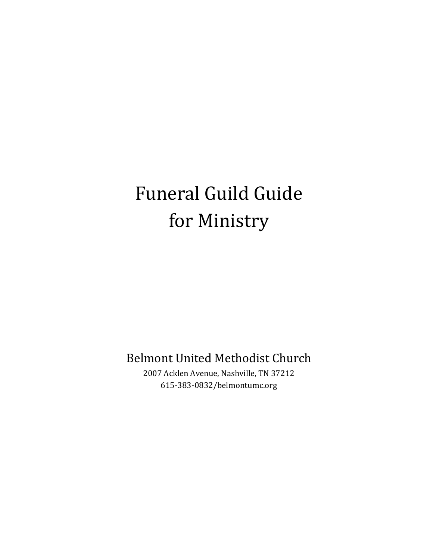# Funeral Guild Guide for Ministry

Belmont United Methodist Church

2007 Acklen Avenue, Nashville, TN 37212 615-383-0832/belmontumc.org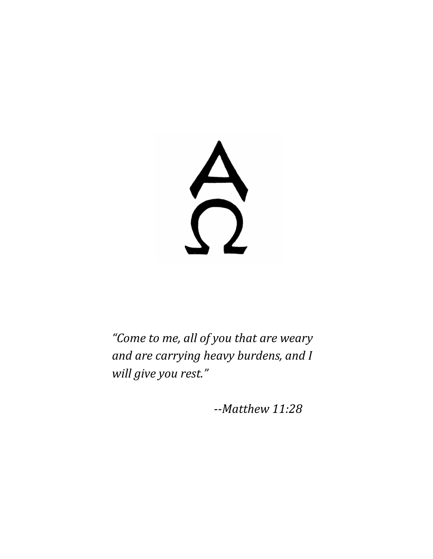$\Omega$ 

*"Come to me, all of you that are weary and are carrying heavy burdens, and I will give you rest."*

*--Matthew 11:28*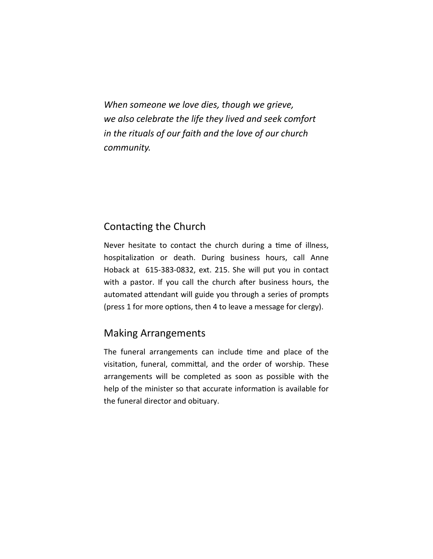*When someone we love dies, though we grieve, we also celebrate the life they lived and seek comfort in the rituals of our faith and the love of our church community.*

#### Contacting the Church

Never hesitate to contact the church during a time of illness, hospitalization or death. During business hours, call Anne Hoback at 615-383-0832, ext. 215. She will put you in contact with a pastor. If you call the church after business hours, the automated attendant will guide you through a series of prompts (press 1 for more options, then 4 to leave a message for clergy).

#### Making Arrangements

The funeral arrangements can include time and place of the visitation, funeral, committal, and the order of worship. These arrangements will be completed as soon as possible with the help of the minister so that accurate information is available for the funeral director and obituary.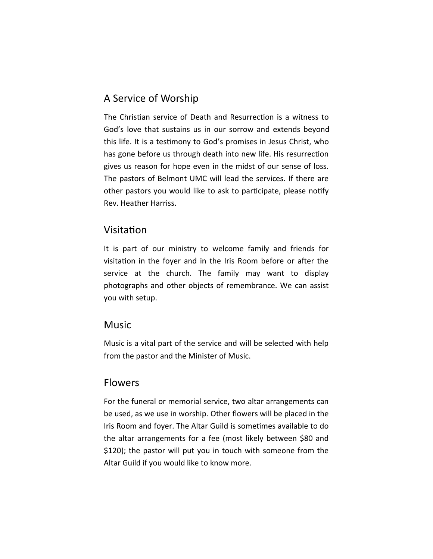#### A Service of Worship

The Christian service of Death and Resurrection is a witness to God's love that sustains us in our sorrow and extends beyond this life. It is a testimony to God's promises in Jesus Christ, who has gone before us through death into new life. His resurrection gives us reason for hope even in the midst of our sense of loss. The pastors of Belmont UMC will lead the services. If there are other pastors you would like to ask to participate, please notify Rev. Heather Harriss.

#### Visitation

It is part of our ministry to welcome family and friends for visitation in the foyer and in the Iris Room before or after the service at the church. The family may want to display photographs and other objects of remembrance. We can assist you with setup.

#### **Music**

Music is a vital part of the service and will be selected with help from the pastor and the Minister of Music.

#### **Flowers**

For the funeral or memorial service, two altar arrangements can be used, as we use in worship. Other flowers will be placed in the Iris Room and foyer. The Altar Guild is sometimes available to do the altar arrangements for a fee (most likely between \$80 and \$120); the pastor will put you in touch with someone from the Altar Guild if you would like to know more.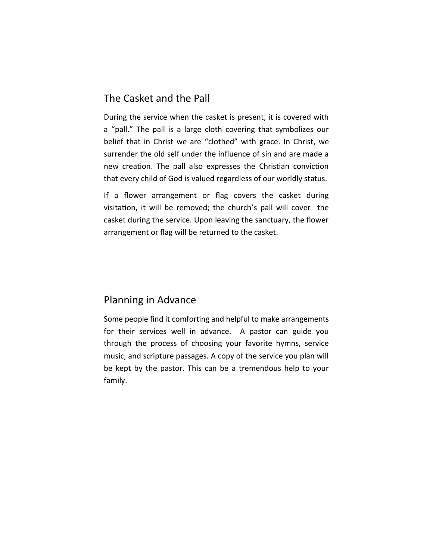#### The Casket and the Pall

During the service when the casket is present, it is covered with a "pall." The pall is a large cloth covering that symbolizes our belief that in Christ we are "clothed" with grace. In Christ, we surrender the old self under the influence of sin and are made a new creation. The pall also expresses the Christian conviction that every child of God is valued regardless of our worldly status.

If a flower arrangement or flag covers the casket during visitation, it will be removed; the church's pall will cover the casket during the service. Upon leaving the sanctuary, the flower arrangement or flag will be returned to the casket.

#### Planning in Advance

Some people find it comforting and helpful to make arrangements for their services well in advance. A pastor can guide you through the process of choosing your favorite hymns, service music, and scripture passages. A copy of the service you plan will be kept by the pastor. This can be a tremendous help to your family.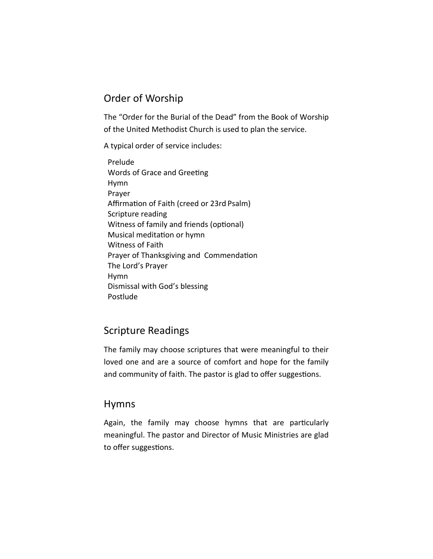#### Order of Worship

The "Order for the Burial of the Dead" from the Book of Worship of the United Methodist Church is used to plan the service.

A typical order of service includes:

 Prelude Words of Grace and Greeting Hymn Prayer Affirmation of Faith (creed or 23rd Psalm) Scripture reading Witness of family and friends (optional) Musical meditation or hymn Witness of Faith Prayer of Thanksgiving and Commendation The Lord's Prayer Hymn Dismissal with God's blessing Postlude

#### Scripture Readings

The family may choose scriptures that were meaningful to their loved one and are a source of comfort and hope for the family and community of faith. The pastor is glad to offer suggestions.

#### Hymns

Again, the family may choose hymns that are particularly meaningful. The pastor and Director of Music Ministries are glad to offer suggestions.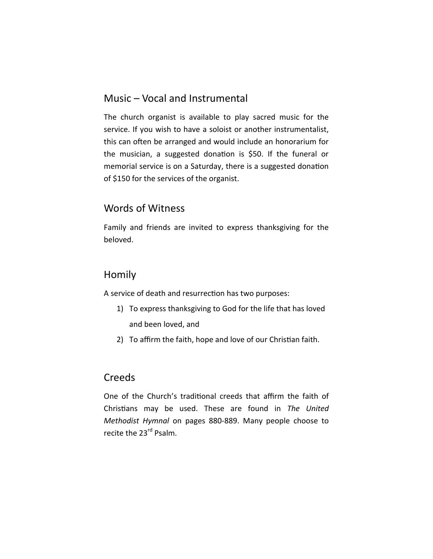#### Music – Vocal and Instrumental

The church organist is available to play sacred music for the service. If you wish to have a soloist or another instrumentalist, this can often be arranged and would include an honorarium for the musician, a suggested donation is \$50. If the funeral or memorial service is on a Saturday, there is a suggested donation of \$150 for the services of the organist.

#### Words of Witness

Family and friends are invited to express thanksgiving for the beloved.

#### Homily

A service of death and resurrection has two purposes:

- 1) To express thanksgiving to God for the life that has loved and been loved, and
- 2) To affirm the faith, hope and love of our Christian faith.

#### **Creeds**

One of the Church's traditional creeds that affirm the faith of Christians may be used. These are found in *The United Methodist Hymnal* on pages 880-889. Many people choose to recite the 23<sup>rd</sup> Psalm.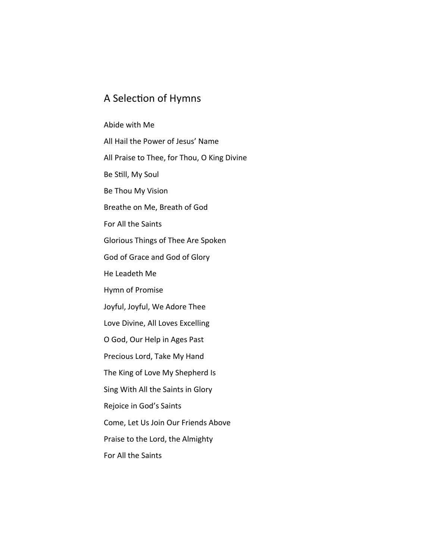#### A Selection of Hymns

# Abide with Me All Hail the Power of Jesus' Name All Praise to Thee, for Thou, O King Divine Be Still, My Soul Be Thou My Vision Breathe on Me, Breath of God For All the Saints Glorious Things of Thee Are Spoken God of Grace and God of Glory He Leadeth Me Hymn of Promise Joyful, Joyful, We Adore Thee Love Divine, All Loves Excelling O God, Our Help in Ages Past Precious Lord, Take My Hand The King of Love My Shepherd Is Sing With All the Saints in Glory Rejoice in God's Saints Come, Let Us Join Our Friends Above Praise to the Lord, the Almighty For All the Saints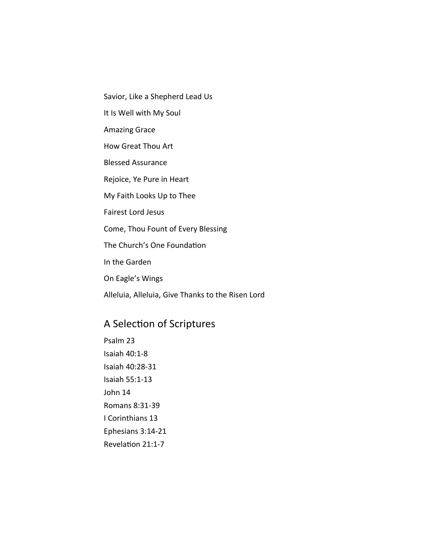- Savior, Like a Shepherd Lead Us
- It Is Well with My Soul
- Amazing Grace
- How Great Thou Art
- Blessed Assurance
- Rejoice, Ye Pure in Heart
- My Faith Looks Up to Thee
- Fairest Lord Jesus
- Come, Thou Fount of Every Blessing
- The Church's One Foundation
- In the Garden
- On Eagle's Wings
- Alleluia, Alleluia, Give Thanks to the Risen Lord

### A Selection of Scriptures

Psalm 23 Isaiah 40:1-8 Isaiah 40:28-31 Isaiah 55:1-13 John 14 Romans 8:31-39 I Corinthians 13 Ephesians 3:14-21 Revelation 21:1-7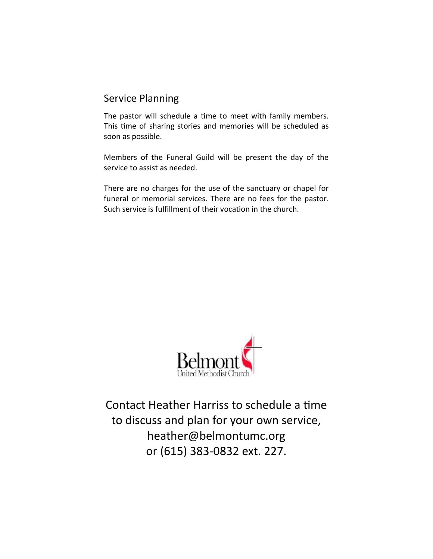#### Service Planning

The pastor will schedule a time to meet with family members. This time of sharing stories and memories will be scheduled as soon as possible.

Members of the Funeral Guild will be present the day of the service to assist as needed.

There are no charges for the use of the sanctuary or chapel for funeral or memorial services. There are no fees for the pastor. Such service is fulfillment of their vocation in the church.



Contact Heather Harriss to schedule a time to discuss and plan for your own service, heather@belmontumc.org or (615) 383-0832 ext. 227.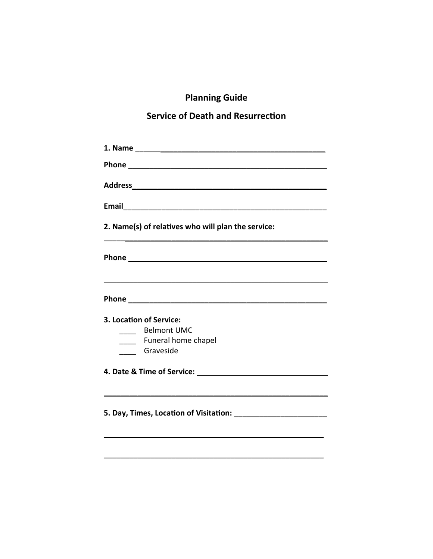# **Planning Guide**

## **Service of Death and Resurrection**

| 2. Name(s) of relatives who will plan the service:                                                                                                                                                                                   |
|--------------------------------------------------------------------------------------------------------------------------------------------------------------------------------------------------------------------------------------|
| Phone experience and the set of the set of the set of the set of the set of the set of the set of the set of the set of the set of the set of the set of the set of the set of the set of the set of the set of the set of the       |
| Phone <u>example and the set of the set of the set of the set of the set of the set of the set of the set of the set of the set of the set of the set of the set of the set of the set of the set of the set of the set of the s</u> |
| 3. Location of Service:                                                                                                                                                                                                              |
| <b>Belmont UMC</b><br>$\frac{1}{2}$                                                                                                                                                                                                  |
| _____ Funeral home chapel                                                                                                                                                                                                            |
| Graveside                                                                                                                                                                                                                            |
|                                                                                                                                                                                                                                      |
|                                                                                                                                                                                                                                      |
|                                                                                                                                                                                                                                      |
|                                                                                                                                                                                                                                      |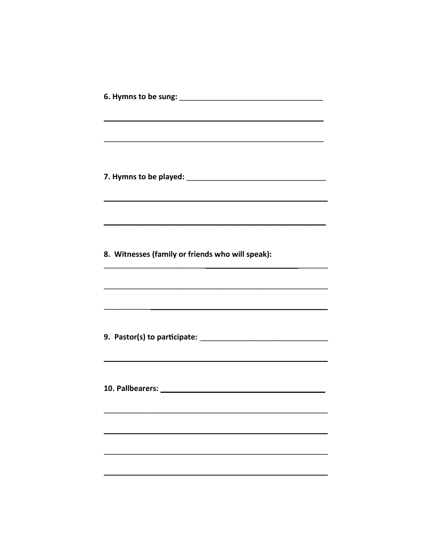|  | ,我们也不会有什么。""我们的人,我们也不会有什么?""我们的人,我们也不会有什么?""我们的人,我们也不会有什么?""我们的人,我们也不会有什么?""我们的人 |
|--|----------------------------------------------------------------------------------|
|  |                                                                                  |
|  | <u> 1989 - Johann Stoff, amerikansk politiker (* 1908)</u>                       |
|  |                                                                                  |
|  | 8. Witnesses (family or friends who will speak):                                 |
|  |                                                                                  |
|  |                                                                                  |
|  |                                                                                  |
|  |                                                                                  |
|  |                                                                                  |